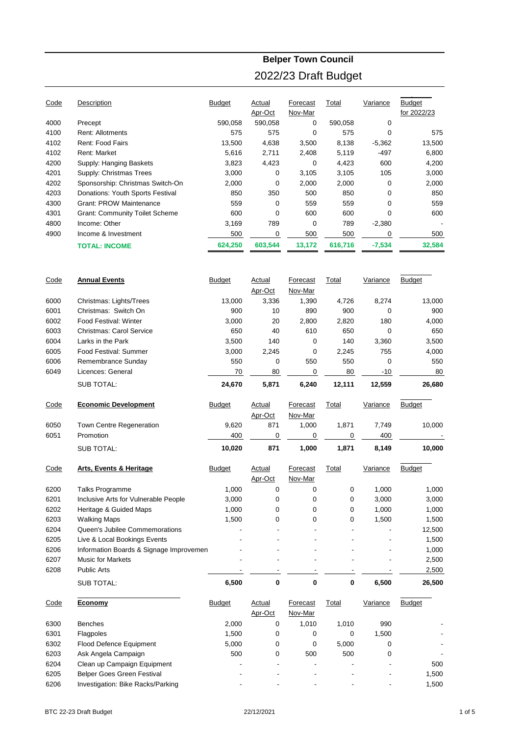### **Belper Town Council** 2022/23 Draft Budget

| Code | Description                           | <b>Budget</b> | Actual   | Forecast | Total   | Variance | <b>Budget</b> |
|------|---------------------------------------|---------------|----------|----------|---------|----------|---------------|
|      |                                       |               | Apr-Oct  | Nov-Mar  |         |          | for 2022/23   |
| 4000 | Precept                               | 590,058       | 590,058  | 0        | 590,058 | 0        |               |
| 4100 | <b>Rent: Allotments</b>               | 575           | 575      | $\Omega$ | 575     | $\Omega$ | 575           |
| 4102 | Rent: Food Fairs                      | 13,500        | 4,638    | 3,500    | 8,138   | $-5,362$ | 13,500        |
| 4102 | <b>Rent: Market</b>                   | 5,616         | 2,711    | 2,408    | 5,119   | -497     | 6,800         |
| 4200 | Supply: Hanging Baskets               | 3,823         | 4,423    | 0        | 4,423   | 600      | 4,200         |
| 4201 | Supply: Christmas Trees               | 3,000         | $\Omega$ | 3,105    | 3,105   | 105      | 3,000         |
| 4202 | Sponsorship: Christmas Switch-On      | 2,000         | $\Omega$ | 2,000    | 2,000   | $\Omega$ | 2,000         |
| 4203 | Donations: Youth Sports Festival      | 850           | 350      | 500      | 850     | 0        | 850           |
| 4300 | <b>Grant: PROW Maintenance</b>        | 559           | $\Omega$ | 559      | 559     | $\Omega$ | 559           |
| 4301 | <b>Grant: Community Toilet Scheme</b> | 600           | $\Omega$ | 600      | 600     | 0        | 600           |
| 4800 | Income: Other                         | 3,169         | 789      | 0        | 789     | $-2,380$ |               |
| 4900 | Income & Investment                   | 500           | 0        | 500      | 500     | $\Omega$ | 500           |
|      | <b>TOTAL: INCOME</b>                  | 624,250       | 603,544  | 13,172   | 616,716 | $-7,534$ | 32,584        |

| Code | <b>Annual Events</b>            | <b>Budget</b> | Actual   | Forecast | Total  | Variance | <b>Budget</b> |
|------|---------------------------------|---------------|----------|----------|--------|----------|---------------|
|      |                                 |               | Apr-Oct  | Nov-Mar  |        |          |               |
| 6000 | Christmas: Lights/Trees         | 13,000        | 3,336    | 1,390    | 4,726  | 8,274    | 13,000        |
| 6001 | Christmas: Switch On            | 900           | 10       | 890      | 900    | 0        | 900           |
| 6002 | Food Festival: Winter           | 3,000         | 20       | 2,800    | 2,820  | 180      | 4,000         |
| 6003 | <b>Christmas: Carol Service</b> | 650           | 40       | 610      | 650    | $\Omega$ | 650           |
| 6004 | Larks in the Park               | 3,500         | 140      | 0        | 140    | 3,360    | 3,500         |
| 6005 | Food Festival: Summer           | 3,000         | 2,245    | 0        | 2,245  | 755      | 4,000         |
| 6006 | Remembrance Sunday              | 550           | $\Omega$ | 550      | 550    | $\Omega$ | 550           |
| 6049 | Licences: General               | 70            | 80       | 0        | 80     | $-10$    | 80            |
|      | SUB TOTAL:                      | 24,670        | 5,871    | 6,240    | 12,111 | 12,559   | 26,680        |
| Code | <b>Economic Development</b>     | <b>Budget</b> | Actual   | Forecast | Total  | Variance | <b>Budget</b> |
|      |                                 |               | Apr-Oct  | Nov-Mar  |        |          |               |
| 6050 | Town Centre Regeneration        | 9,620         | 871      | 1,000    | 1,871  | 7,749    | 10,000        |
| 6051 | Promotion                       | 400           | 0        | 0        | 0      | 400      |               |

| Code | Arts, Events & Heritage                 | <b>Budget</b> | Actual<br>Apr-Oct | Forecast<br>Nov-Mar | Total                    | Variance       | <b>Budget</b> |
|------|-----------------------------------------|---------------|-------------------|---------------------|--------------------------|----------------|---------------|
| 6200 | Talks Programme                         | 1.000         | $\Omega$          | 0                   | $\Omega$                 | 1.000          | 1.000         |
| 6201 | Inclusive Arts for Vulnerable People    | 3.000         | 0                 | 0                   | 0                        | 3.000          | 3,000         |
| 6202 | Heritage & Guided Maps                  | 1.000         | 0                 | 0                   | $\Omega$                 | 1.000          | 1,000         |
| 6203 | <b>Walking Maps</b>                     | 1,500         | 0                 | 0                   | 0                        | 1,500          | 1,500         |
| 6204 | Queen's Jubilee Commemorations          |               |                   |                     |                          |                | 12,500        |
| 6205 | Live & Local Bookings Events            |               |                   | ٠                   | $\overline{\phantom{0}}$ | $\blacksquare$ | 1,500         |
| 6206 | Information Boards & Signage Improvemen |               |                   |                     | -                        | $\blacksquare$ | 1,000         |
| 6207 | <b>Music for Markets</b>                |               |                   | ٠                   | -                        | $\blacksquare$ | 2,500         |
| 6208 | <b>Public Arts</b>                      |               |                   |                     |                          |                | 2,500         |
|      | <b>SUB TOTAL:</b>                       | 6.500         | 0                 | 0                   | 0                        | 6.500          | 26.500        |

SUB TOTAL: **10,020 871 1,000 1,871 8,149 10,000**

| Code | Economy                           | <b>Budget</b> | Actual  | Forecast                 | Total | Variance | <b>Budget</b> |
|------|-----------------------------------|---------------|---------|--------------------------|-------|----------|---------------|
|      |                                   |               | Apr-Oct | Nov-Mar                  |       |          |               |
| 6300 | <b>Benches</b>                    | 2,000         |         | 1,010                    | 1.010 | 990      |               |
| 6301 | <b>Flagpoles</b>                  | 1,500         | 0       | 0                        | 0     | 1,500    |               |
| 6302 | <b>Flood Defence Equipment</b>    | 5,000         |         | 0                        | 5.000 | 0        |               |
| 6203 | Ask Angela Campaign               | 500           | 0       | 500                      | 500   | 0        |               |
| 6204 | Clean up Campaign Equipment       | ۰             |         |                          |       |          | 500           |
| 6205 | Belper Goes Green Festival        | -             | ۰       | $\overline{\phantom{a}}$ |       |          | 1.500         |
| 6206 | Investigation: Bike Racks/Parking |               | -       | $\overline{\phantom{0}}$ |       |          | 1,500         |

Proposed

Proposed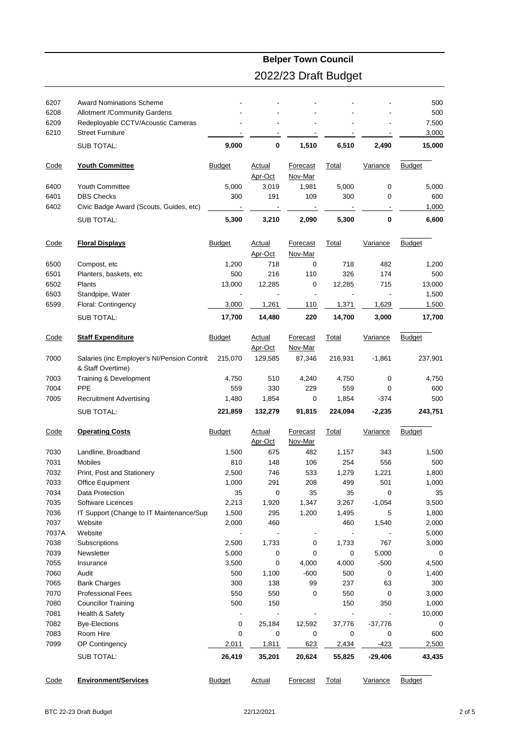#### **Belper Town Council**

# 2022/23 Draft Budget

| 6207         | <b>Award Nominations Scheme</b>                                  |                |                   |                          |           |              | 500            |
|--------------|------------------------------------------------------------------|----------------|-------------------|--------------------------|-----------|--------------|----------------|
| 6208         | <b>Allotment /Community Gardens</b>                              |                |                   |                          |           |              | 500            |
| 6209         | Redeployable CCTV/Acoustic Cameras                               |                |                   |                          |           |              | 7,500          |
| 6210         | <b>Street Furniture</b>                                          |                |                   |                          |           |              | 3,000          |
|              | <b>SUB TOTAL:</b>                                                | 9,000          | 0                 | 1,510                    | 6,510     | 2,490        | 15,000         |
| <u>Code</u>  | <b>Youth Committee</b>                                           | <b>Budget</b>  | Actual            | Forecast                 | Total     | Variance     | <b>Budget</b>  |
|              |                                                                  |                | Apr-Oct           | Nov-Mar                  |           |              |                |
| 6400         | <b>Youth Committee</b>                                           | 5,000          | 3,019             | 1,981                    | 5,000     | $\mathbf 0$  | 5,000          |
| 6401         | <b>DBS Checks</b>                                                | 300            | 191               | 109                      | 300       | 0            | 600            |
| 6402         | Civic Badge Award (Scouts, Guides, etc)                          |                |                   | $\overline{\phantom{a}}$ |           |              | 1,000          |
|              | <b>SUB TOTAL:</b>                                                | 5,300          | 3,210             | 2,090                    | 5,300     | $\mathbf 0$  | 6,600          |
| Code         | <u>Floral Displays</u>                                           | <b>Budget</b>  | Actual            | Forecast                 | Total     | Variance     | <b>Budget</b>  |
|              |                                                                  |                | Apr-Oct           | Nov-Mar                  |           |              |                |
| 6500         | Compost, etc                                                     | 1,200          | 718               | 0                        | 718       | 482          | 1,200          |
| 6501         | Planters, baskets, etc                                           | 500            | 216               | 110                      | 326       | 174          | 500            |
| 6502         | Plants                                                           | 13,000         | 12,285            | 0                        | 12,285    | 715          | 13,000         |
| 6503         | Standpipe, Water                                                 |                |                   |                          |           |              | 1,500          |
| 6599         | Floral: Contingency                                              | 3,000          | 1,261             | 110                      | 1,371     | 1,629        | 1,500          |
|              | <b>SUB TOTAL:</b>                                                | 17,700         | 14,480            | 220                      | 14,700    | 3,000        | 17,700         |
| Code         | <b>Staff Expenditure</b>                                         | <b>Budget</b>  | Actual<br>Apr-Oct | Forecast<br>Nov-Mar      | Total     | Variance     | <b>Budget</b>  |
| 7000         | Salaries (inc Employer's NI/Pension Contrit<br>& Staff Overtime) | 215,070        | 129,585           | 87,346                   | 216,931   | $-1,861$     | 237,901        |
| 7003         | Training & Development                                           | 4,750          | 510               | 4,240                    | 4,750     | 0            | 4,750          |
| 7004         | <b>PPE</b>                                                       | 559            | 330               | 229                      | 559       | 0            | 600            |
| 7005         | <b>Recruitment Advertising</b>                                   | 1,480          | 1,854             | 0                        | 1,854     | -374         | 500            |
|              | SUB TOTAL:                                                       | 221,859        | 132,279           | 91,815                   | 224,094   | $-2,235$     | 243,751        |
| <u>Code</u>  | <b>Operating Costs</b>                                           | <b>Budget</b>  | Actual            | Forecast                 | Total     | Variance     | <b>Budget</b>  |
|              |                                                                  |                | <u>Apr-Oct</u>    | Nov-Mar                  |           |              |                |
| 7030         | Landline, Broadband                                              | 1,500          | 675               | 482                      | 1,157     | 343          | 1,500          |
| 7031         | Mobiles                                                          | 810            | 148               | 106                      | 254       | 556          | 500            |
| 7032         | Print, Post and Stationery                                       | 2,500<br>1,000 | 746               | 533<br>208               | 1,279     | 1,221<br>501 | 1,800<br>1,000 |
| 7033<br>7034 | Office Equipment<br>Data Protection                              | 35             | 291<br>0          | 35                       | 499<br>35 | $\mathbf 0$  | 35             |
| 7035         | Software Licences                                                | 2,213          | 1,920             | 1,347                    | 3,267     | $-1,054$     | 3,500          |
| 7036         | IT Support (Change to IT Maintenance/Sup                         | 1,500          | 295               | 1,200                    | 1,495     | 5            | 1,800          |
| 7037         | Website                                                          | 2,000          | 460               |                          | 460       | 1,540        | 2,000          |
| 7037A        | Website                                                          |                |                   | $\overline{\phantom{a}}$ |           |              | 5,000          |
| 7038         | Subscriptions                                                    | 2,500          | 1,733             | 0                        | 1,733     | 767          | 3,000          |
| 7039         | Newsletter                                                       | 5,000          | 0                 | 0                        | 0         | 5,000        | 0              |
| 7055         | Insurance                                                        | 3,500          | 0                 | 4,000                    | 4,000     | $-500$       | 4,500          |
| 7060         | Audit                                                            | 500            | 1,100             | $-600$                   | 500       | 0            | 1,400          |
| 7065         | <b>Bank Charges</b>                                              | 300            | 138               | 99                       | 237       | 63           | 300            |
| 7070         | <b>Professional Fees</b>                                         | 550            | 550               | 0                        | 550       | $\pmb{0}$    | 3,000          |
| 7080         | <b>Councillor Training</b>                                       | 500            | 150               |                          | 150       | 350          | 1,000          |
| 7081         | Health & Safety                                                  |                |                   |                          |           |              | 10,000         |
| 7082         | <b>Bye-Elections</b>                                             | 0              | 25,184            | 12,592                   | 37,776    | $-37,776$    | 0              |
| 7083         | Room Hire                                                        | 0              | 0                 | 0                        | 0         | $\mathbf 0$  | 600            |
| 7099         | OP Contingency                                                   | 2,011          | 1,811             | 623                      | 2,434     | $-423$       | 2,500          |
|              | <b>SUB TOTAL:</b>                                                | 26,419         | 35,201            | 20,624                   | 55,825    | $-29,406$    | 43,435         |

| Code | <b>Environment/Services</b> | Budaet | Actual | Forecast | ™otal | Variance | Budaet |
|------|-----------------------------|--------|--------|----------|-------|----------|--------|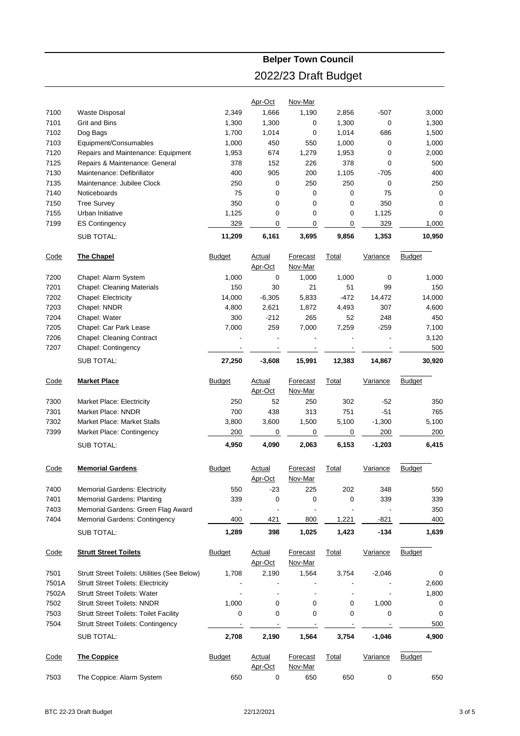#### 2022/23 Draft Budget Apr-Oct Nov-Mar 7100 Waste Disposal 2,349 1,666 1,190 2,856 -507 3,000 7101 Grit and Bins 1,300 1,300 0 1,300 0 1,300 7102 Dog Bags 1,700 1,014 0 1,014 686 1,500 7103 Equipment/Consumables 1,000 450 550 1,000 0 1,000 7120 Repairs and Maintenance: Equipment 1,953 674 1,279 1,953 0 2,000 7125 Repairs & Maintenance: General 378 152 226 378 0 500 7130 Maintenance: Defibrillator 400 905 200 1,105 -705 400 7135 Maintenance: Jubilee Clock 250 0 250 250 0 250 7140 Noticeboards 75 0 0 0 75 0 7150 Tree Survey 350 0 0 0 350 0 7155 Urban Initiative 1,125 0 0 0 1,125 0 7199 ES Contingency 20 20 329 0 0 0 0 329 1,000 SUB TOTAL: **11,209 6,161 3,695 9,856 1,353 10,950**

**Belper Town Council**

| Code | <b>The Chapel</b>                 | <b>Budget</b> | Actual   | Forecast | Total  | Variance | <b>Budget</b> |
|------|-----------------------------------|---------------|----------|----------|--------|----------|---------------|
|      |                                   |               | Apr-Oct  | Nov-Mar  |        |          |               |
| 7200 | Chapel: Alarm System              | 1.000         | 0        | 1.000    | 1.000  | 0        | 1,000         |
| 7201 | <b>Chapel: Cleaning Materials</b> | 150           | 30       | 21       | 51     | 99       | 150           |
| 7202 | Chapel: Electricity               | 14.000        | $-6,305$ | 5,833    | $-472$ | 14.472   | 14,000        |
| 7203 | Chapel: NNDR                      | 4.800         | 2,621    | 1,872    | 4,493  | 307      | 4,600         |
| 7204 | Chapel: Water                     | 300           | $-212$   | 265      | 52     | 248      | 450           |
| 7205 | Chapel: Car Park Lease            | 7.000         | 259      | 7.000    | 7.259  | $-259$   | 7,100         |
| 7206 | <b>Chapel: Cleaning Contract</b>  |               |          |          |        |          | 3,120         |
| 7207 | Chapel: Contingency               |               |          |          |        |          | 500           |
|      | SUB TOTAL:                        | 27.250        | $-3.608$ | 15.991   | 12.383 | 14.867   | 30.920        |

| Code | <b>Market Place</b>              | <b>Budget</b> | Actual<br>Apr-Oct | Forecast<br>Nov-Mar | Total | Variance | <b>Budget</b> |
|------|----------------------------------|---------------|-------------------|---------------------|-------|----------|---------------|
| 7300 | <b>Market Place: Electricity</b> | 250           | 52                | 250                 | 302   | -52      | 350           |
| 7301 | Market Place: NNDR               | 700           | 438               | 313                 | 751   | $-51$    | 765           |
| 7302 | Market Place: Market Stalls      | 3.800         | 3.600             | 1.500               | 5.100 | $-1.300$ | 5,100         |
| 7399 | Market Place: Contingency        | 200           |                   |                     |       | 200      | 200           |
|      | SUB TOTAL:                       | 4.950         | 4.090             | 2.063               | 6.153 | $-1.203$ | 6,415         |

| Code | <b>Memorial Gardens</b>              | <b>Budget</b> | Actual<br>Apr-Oct | Forecast<br>Nov-Mar | Total | Variance | <b>Budget</b> |  |
|------|--------------------------------------|---------------|-------------------|---------------------|-------|----------|---------------|--|
| 7400 | <b>Memorial Gardens: Electricity</b> | 550           | $-23$             | 225                 | 202   | 348      | 550           |  |
| 7401 | <b>Memorial Gardens: Planting</b>    | 339           | 0                 | 0                   | 0     | 339      | 339           |  |
| 7403 | Memorial Gardens: Green Flag Award   |               |                   |                     |       |          | 350           |  |
| 7404 | <b>Memorial Gardens: Contingency</b> | 400           | 421               | 800                 | 1.221 | $-821$   | 400           |  |
|      | SUB TOTAL:                           | 1.289         | 398               | 1.025               | 1.423 | $-134$   | 1.639         |  |

| Code  | <b>Strutt Street Toilets</b>                  | <b>Budget</b> | Actual<br>Apr-Oct | Forecast<br>Nov-Mar | Total | Variance | <b>Budget</b> |
|-------|-----------------------------------------------|---------------|-------------------|---------------------|-------|----------|---------------|
| 7501  | Strutt Street Toilets: Utilities (See Below)  | 1.708         | 2.190             | 1.564               | 3.754 | $-2,046$ | $\mathbf 0$   |
| 7501A | <b>Strutt Street Toilets: Electricity</b>     |               |                   |                     |       |          | 2,600         |
| 7502A | <b>Strutt Street Toilets: Water</b>           |               |                   |                     |       |          | 1,800         |
| 7502  | <b>Strutt Street Toilets: NNDR</b>            | 1.000         | 0                 | 0                   | 0     | 1,000    | 0             |
| 7503  | <b>Strutt Street Toilets: Toilet Facility</b> | 0             | $\Omega$          | 0                   | 0     | 0        | $\Omega$      |
| 7504  | <b>Strutt Street Toilets: Contingency</b>     |               |                   |                     |       |          | 500           |
|       | SUB TOTAL:                                    | 2.708         | 2.190             | 1.564               | 3.754 | $-1.046$ | 4,900         |
| Code  | <b>The Coppice</b>                            | <b>Budget</b> | Actual            | Forecast<br>Nov-Mar | Total | Variance | <b>Budget</b> |
| 7503  | The Coppice: Alarm System                     | 650           | Apr-Oct<br>0      | 650                 | 650   | 0        | 650           |
|       |                                               |               |                   |                     |       |          |               |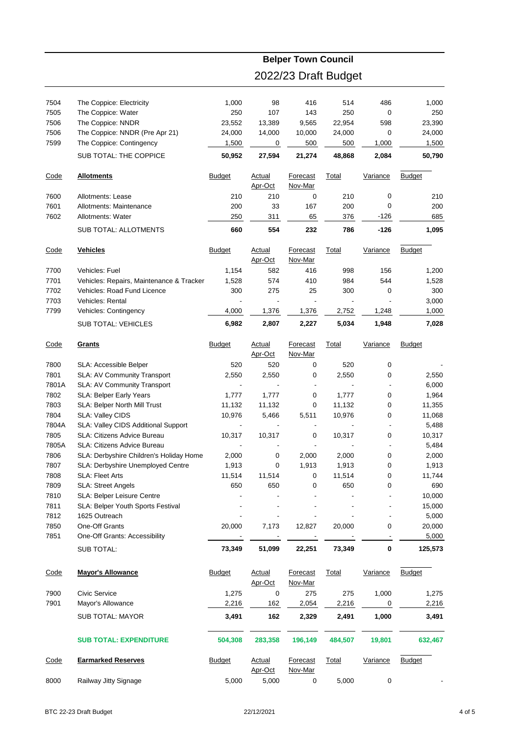|              |                                                               |                          |                          | 2022/23 Draft Budget     |                |                          |               |
|--------------|---------------------------------------------------------------|--------------------------|--------------------------|--------------------------|----------------|--------------------------|---------------|
| 7504         | The Coppice: Electricity                                      | 1,000                    | 98                       | 416                      | 514            | 486                      | 1,000         |
| 7505         | The Coppice: Water                                            | 250                      | 107                      | 143                      | 250            | 0                        | 250           |
| 7506         | The Coppice: NNDR                                             | 23,552                   | 13,389                   | 9,565                    | 22,954         | 598                      | 23,390        |
| 7506         | The Coppice: NNDR (Pre Apr 21)                                | 24,000                   | 14,000                   | 10,000                   | 24,000         | 0                        | 24,000        |
| 7599         | The Coppice: Contingency                                      | 1,500                    | 0                        | 500                      | 500            | 1,000                    | 1,500         |
|              | SUB TOTAL: THE COPPICE                                        | 50,952                   | 27.594                   | 21,274                   | 48,868         | 2,084                    | 50,790        |
|              |                                                               |                          |                          |                          |                |                          |               |
| <u>Code</u>  | <b>Allotments</b>                                             | <b>Budget</b>            | <b>Actual</b><br>Apr-Oct | Forecast<br>Nov-Mar      | <u>Total</u>   | <u>Variance</u>          | <b>Budget</b> |
| 7600         | Allotments: Lease                                             | 210                      | 210                      | 0                        | 210            | 0                        | 210           |
| 7601         | Allotments: Maintenance                                       | 200                      | 33                       | 167                      | 200            | 0                        | 200           |
| 7602         | Allotments: Water                                             | 250                      | 311                      | 65                       | 376            | $-126$                   | 685           |
|              | <b>SUB TOTAL: ALLOTMENTS</b>                                  | 660                      | 554                      | 232                      | 786            | $-126$                   | 1,095         |
| <u>Code</u>  | <b>Vehicles</b>                                               | <b>Budget</b>            | Actual<br>Apr-Oct        | Forecast<br>Nov-Mar      | Total          | Variance                 | <b>Budget</b> |
|              | Vehicles: Fuel                                                |                          |                          |                          |                |                          |               |
| 7700         |                                                               | 1,154                    | 582                      | 416                      | 998            | 156                      | 1,200         |
| 7701         | Vehicles: Repairs, Maintenance & Tracker                      | 1,528                    | 574                      | 410                      | 984            | 544                      | 1,528         |
| 7702<br>7703 | <b>Vehicles: Road Fund Licence</b><br><b>Vehicles: Rental</b> | 300                      | 275                      | 25<br>٠                  | 300            | 0                        | 300<br>3,000  |
| 7799         | Vehicles: Contingency                                         | 4,000                    | 1,376                    | 1,376                    | 2,752          | 1,248                    | 1,000         |
|              | <b>SUB TOTAL: VEHICLES</b>                                    | 6,982                    | 2,807                    | 2,227                    | 5,034          | 1,948                    | 7,028         |
|              |                                                               |                          |                          |                          |                |                          |               |
| <u>Code</u>  | <b>Grants</b>                                                 | <b>Budget</b>            | <b>Actual</b><br>Apr-Oct | Forecast<br>Nov-Mar      | Total          | Variance                 | <b>Budget</b> |
| 7800         | SLA: Accessible Belper                                        | 520                      | 520                      | 0                        | 520            | 0                        |               |
| 7801         | SLA: AV Community Transport                                   | 2,550                    | 2,550                    | 0                        | 2,550          | 0                        | 2,550         |
| 7801A        | SLA: AV Community Transport                                   |                          |                          | $\overline{\phantom{a}}$ |                |                          | 6,000         |
| 7802         | SLA: Belper Early Years                                       | 1,777                    | 1,777                    | 0                        | 1,777          | 0                        | 1,964         |
| 7803         | SLA: Belper North Mill Trust                                  | 11,132                   | 11,132                   | 0                        | 11,132         | 0                        | 11,355        |
| 7804         | SLA: Valley CIDS                                              | 10,976                   | 5,466                    | 5,511                    | 10,976         | 0                        | 11,068        |
| 7804A        | SLA: Valley CIDS Additional Support                           | $\overline{\phantom{a}}$ | $\overline{\phantom{a}}$ | $\overline{\phantom{a}}$ | $\blacksquare$ | $\overline{\phantom{a}}$ | 5,488         |
| 7805         | <b>SLA: Citizens Advice Bureau</b>                            | 10,317                   | 10,317                   | 0                        | 10,317         | 0                        | 10,317        |
| 7805A        | <b>SLA: Citizens Advice Bureau</b>                            |                          |                          |                          |                |                          | 5,484         |
| 7806         | SLA: Derbyshire Children's Holiday Home                       | 2,000                    | 0                        | 2,000                    | 2,000          | 0                        | 2,000         |
| 7807         | SLA: Derbyshire Unemployed Centre                             | 1,913                    | 0                        | 1,913                    | 1,913          | 0                        | 1,913         |
| 7808         | SLA: Fleet Arts                                               | 11,514                   | 11,514                   | 0                        | 11,514         | 0                        | 11,744        |
| 7809         | <b>SLA: Street Angels</b>                                     | 650                      | 650                      | 0                        | 650            | 0                        | 690           |
| 7810         | SLA: Belper Leisure Centre                                    |                          |                          |                          |                |                          | 10,000        |
| 7811         | SLA: Belper Youth Sports Festival                             |                          |                          |                          |                |                          | 15,000        |
| 7812         | 1625 Outreach                                                 |                          |                          |                          |                |                          | 5,000         |
| 7850         | One-Off Grants                                                | 20,000                   | 7,173                    | 12,827                   | 20,000         | 0                        | 20,000        |
| 7851         | One-Off Grants: Accessibility                                 |                          |                          |                          |                |                          | 5,000         |
|              | <b>SUB TOTAL:</b>                                             | 73,349                   | 51,099                   | 22,251                   | 73,349         | 0                        | 125,573       |
| <u>Code</u>  | <b>Mayor's Allowance</b>                                      | <b>Budget</b>            | Actual<br>Apr-Oct        | Forecast<br>Nov-Mar      | Total          | Variance                 | <b>Budget</b> |
| 7900         | <b>Civic Service</b>                                          | 1,275                    | $\pmb{0}$                | 275                      | 275            | 1,000                    | 1,275         |
| 7901         | Mayor's Allowance                                             | 2,216                    | 162                      | 2,054                    | 2,216          | $\pmb{0}$                | 2,216         |
|              | SUB TOTAL: MAYOR                                              | 3,491                    | 162                      | 2,329                    | 2,491          | 1,000                    | 3,491         |
|              |                                                               |                          |                          |                          |                |                          |               |
|              | <b>SUB TOTAL: EXPENDITURE</b>                                 | 504,308                  | 283,358                  | 196,149                  | 484,507        | 19,801                   | 632,467       |
| <u>Code</u>  | <b>Earmarked Reserves</b>                                     | <b>Budget</b>            | <u>Actual</u><br>Apr-Oct | Forecast<br>Nov-Mar      | <u>Total</u>   | Variance                 | <b>Budget</b> |
| 8000         | Railway Jitty Signage                                         | 5,000                    | 5,000                    | 0                        | 5,000          | 0                        |               |
|              |                                                               |                          |                          |                          |                |                          |               |

**Belper Town Council**